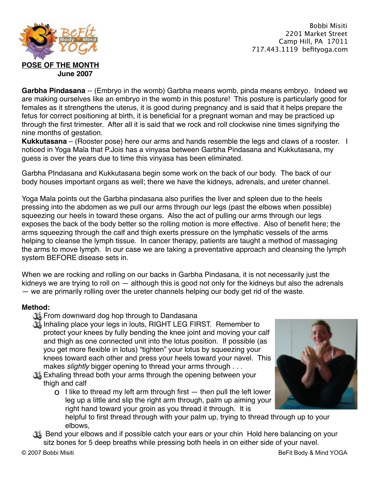

**Garbha Pindasana** -- (Embryo in the womb) Garbha means womb, pinda means embryo. Indeed we are making ourselves like an embryo in the womb in this posture! This posture is particularly good for females as it strengthens the uterus, it is good during pregnancy and is said that it helps prepare the fetus for correct positioning at birth, it is beneficial for a pregnant woman and may be practiced up through the first trimester. After all it is said that we rock and roll clockwise nine times signifying the nine months of gestation.

**Kukkutasana** – (Rooster pose) here our arms and hands resemble the legs and claws of a rooster. I noticed in Yoga Mala that P.Jois has a vinyasa between Garbha Pindasana and Kukkutasana, my guess is over the years due to time this vinyasa has been eliminated.

Garbha PIndasana and Kukkutasana begin some work on the back of our body. The back of our body houses important organs as well; there we have the kidneys, adrenals, and ureter channel.

Yoga Mala points out the Garbha pindasana also purifies the liver and spleen due to the heels pressing into the abdomen as we pull our arms through our legs (past the elbows when possible) squeezing our heels in toward these organs. Also the act of pulling our arms through our legs exposes the back of the body better so the rolling motion is more effective. Also of benefit here; the arms squeezing through the calf and thigh exerts pressure on the lymphatic vessels of the arms helping to cleanse the lymph tissue. In cancer therapy, patients are taught a method of massaging the arms to move lymph. In our case we are taking a preventative approach and cleansing the lymph system BEFORE disease sets in.

When we are rocking and rolling on our backs in Garbha Pindasana, it is not necessarily just the kidneys we are trying to roll on  $-$  although this is good not only for the kidneys but also the adrenals — we are primarily rolling over the ureter channels helping our body get rid of the waste.

# **Method:**

- From downward dog hop through to Dandasana
- Inhaling place your legs in louts, RIGHT LEG FIRST. Remember to protect your knees by fully bending the knee joint and moving your calf and thigh as one connected unit into the lotus position. If possible (as you get more flexible in lotus) "tighten" your lotus by squeezing your knees toward each other and press your heels toward your navel. This makes *slightly* bigger opening to thread your arms through . . .
- Exhaling thread both your arms through the opening between your thigh and calf
	- $\Omega$  I like to thread my left arm through first  $-$  then pull the left lower leg up a little and slip the right arm through, palm up aiming your right hand toward your groin as you thread it through. It is



helpful to first thread through with your palm up, trying to thread through up to your elbows,

 Bend your elbows and if possible catch your ears or your chin Hold here balancing on your sitz bones for 5 deep breaths while pressing both heels in on either side of your navel.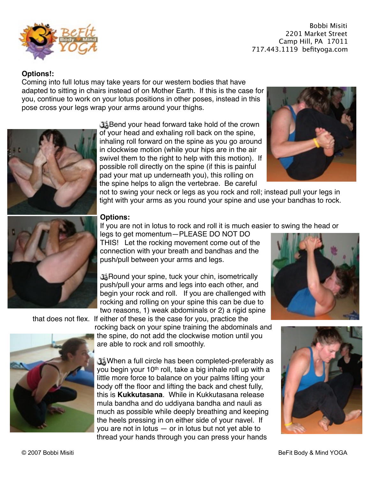

### **Options!:**

Coming into full lotus may take years for our western bodies that have adapted to sitting in chairs instead of on Mother Earth. If this is the case for you, continue to work on your lotus positions in other poses, instead in this pose cross your legs wrap your arms around your thighs.



Bend your head forward take hold of the crown of your head and exhaling roll back on the spine, inhaling roll forward on the spine as you go around in clockwise motion (while your hips are in the air swivel them to the right to help with this motion). If possible roll directly on the spine (if this is painful pad your mat up underneath you), this rolling on the spine helps to align the vertebrae. Be careful



not to swing your neck or legs as you rock and roll; instead pull your legs in tight with your arms as you round your spine and use your bandhas to rock.



### **Options:**

If you are not in lotus to rock and roll it is much easier to swing the head or

legs to get momentum—PLEASE DO NOT DO THIS! Let the rocking movement come out of the connection with your breath and bandhas and the push/pull between your arms and legs.

Round your spine, tuck your chin, isometrically push/pull your arms and legs into each other, and begin your rock and roll. If you are challenged with rocking and rolling on your spine this can be due to two reasons, 1) weak abdominals or 2) a rigid spine

that does not flex. If either of these is the case for you, practice the



rocking back on your spine training the abdominals and the spine, do not add the clockwise motion until you are able to rock and roll smoothly.

When a full circle has been completed-preferably as you begin your 10<sup>th</sup> roll, take a big inhale roll up with a little more force to balance on your palms lifting your body off the floor and lifting the back and chest fully, this is **Kukkutasana**. While in Kukkutasana release mula bandha and do uddiyana bandha and nauli as much as possible while deeply breathing and keeping the heels pressing in on either side of your navel. If you are not in lotus — or in lotus but not yet able to thread your hands through you can press your hands



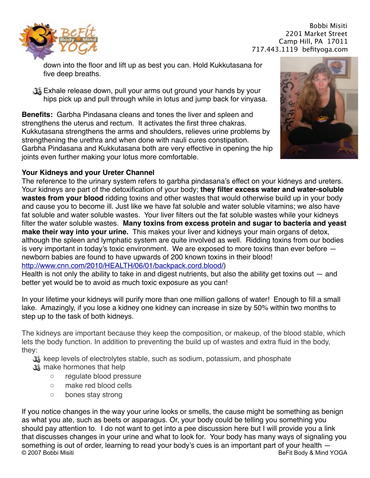

down into the floor and lift up as best you can. Hold Kukkutasana for five deep breaths.

Exhale release down, pull your arms out ground your hands by your hips pick up and pull through while in lotus and jump back for vinyasa.

**Benefits:** Garbha Pindasana cleans and tones the liver and spleen and strengthens the uterus and rectum. It activates the first three chakras. Kukkutasana strengthens the arms and shoulders, relieves urine problems by strengthening the urethra and when done with nauli cures constipation. Garbha Pindasana and Kukkutasana both are very effective in opening the hip joints even further making your lotus more comfortable.



### **Your Kidneys and your Ureter Channel**

The reference to the urinary system refers to garbha pindasana's effect on your kidneys and ureters. Your kidneys are part of the detoxification of your body; **they filter excess water and water-soluble wastes from your blood** ridding toxins and other wastes that would otherwise build up in your body and cause you to become ill. Just like we have fat soluble and water soluble vitamins; we also have fat soluble and water soluble wastes. Your liver filters out the fat soluble wastes while your kidneys filter the water soluble wastes. **Many toxins from excess protein and sugar to bacteria and yeast make their way into your urine.** This makes your liver and kidneys your main organs of detox, although the spleen and lymphatic system are quite involved as well. Ridding toxins from our bodies is very important in today's toxic environment. We are exposed to more toxins than ever before newborn babies are found to have upwards of 200 known toxins in their blood! [http://www.cnn.com/2010/HEALTH/06/01/backpack.cord.blood/\)](http://www.cnn.com/2010/HEALTH/06/01/backpack.cord.blood/)

Health is not only the ability to take in and digest nutrients, but also the ability get toxins out — and better yet would be to avoid as much toxic exposure as you can!

In your lifetime your kidneys will purify more than one million gallons of water! Enough to fill a small lake. Amazingly, if you lose a kidney one kidney can increase in size by 50% within two months to step up to the task of both kidneys.

The kidneys are important because they keep the composition, or makeup, of the blood stable, which lets the body function. In addition to preventing the build up of wastes and extra fluid in the body, they:

keep levels of electrolytes stable, such as sodium, potassium, and phosphate

- make hormones that help
	- regulate blood pressure
	- make red blood cells
	- bones stay strong

If you notice changes in the way your urine looks or smells, the cause might be something as benign as what you ate, such as beets or asparagus. Or, your body could be telling you something you should pay attention to. I do not want to get into a pee discussion here but I will provide you a link that discusses changes in your urine and what to look for. Your body has many ways of signaling you something is out of order, learning to read your body's cues is an important part of your health — © 2007 Bobbi Misiti BeFit Body & Mind YOGA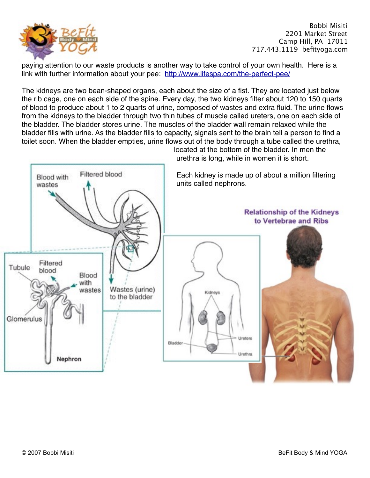

paying attention to our waste products is another way to take control of your own health. Here is a link with further information about your pee: <http://www.lifespa.com/the-perfect-pee/>

The kidneys are two bean-shaped organs, each about the size of a fist. They are located just below the rib cage, one on each side of the spine. Every day, the two kidneys filter about 120 to 150 quarts of blood to produce about 1 to 2 quarts of urine, composed of wastes and extra fluid. The urine flows from the kidneys to the bladder through two thin tubes of muscle called ureters, one on each side of the bladder. The bladder stores urine. The muscles of the bladder wall remain relaxed while the bladder fills with urine. As the bladder fills to capacity, signals sent to the brain tell a person to find a toilet soon. When the bladder empties, urine flows out of the body through a tube called the urethra, located at the bottom of the bladder. In men the



urethra is long, while in women it is short.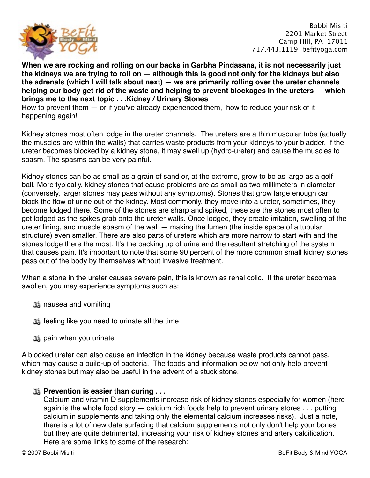

**When we are rocking and rolling on our backs in Garbha Pindasana, it is not necessarily just the kidneys we are trying to roll on — although this is good not only for the kidneys but also the adrenals (which I will talk about next) — we are primarily rolling over the ureter channels helping our body get rid of the waste and helping to prevent blockages in the ureters — which brings me to the next topic . . .Kidney / Urinary Stones**

**H**ow to prevent them — or if you've already experienced them, how to reduce your risk of it happening again!

Kidney stones most often lodge in the ureter channels.The ureters are a thin muscular tube (actually the muscles are within the walls) that carries waste products from your kidneys to your bladder. If the ureter becomes blocked by a kidney stone, it may swell up (hydro-ureter) and cause the muscles to spasm. The spasms can be very painful.

Kidney stones can be as small as a grain of sand or, at the extreme, grow to be as large as a golf ball. More typically, kidney stones that cause problems are as small as two millimeters in diameter (conversely, larger stones may pass without any symptoms). Stones that grow large enough can block the flow of urine out of the kidney. Most commonly, they move into a ureter, sometimes, they become lodged there. Some of the stones are sharp and spiked, these are the stones most often to get lodged as the spikes grab onto the ureter walls. Once lodged, they create irritation, swelling of the ureter lining, and muscle spasm of the wall — making the lumen (the inside space of a tubular structure) even smaller. There are also parts of ureters which are more narrow to start with and the stones lodge there the most. It's the backing up of urine and the resultant stretching of the system that causes pain. It's important to note that some 90 percent of the more common small kidney stones pass out of the body by themselves without invasive treatment.

When a stone in the ureter causes severe pain, this is known as renal colic. If the ureter becomes swollen, you may experience symptoms such as:

- nausea and vomiting
- feeling like you need to urinate all the time
- pain when you urinate

A blocked ureter can also cause an infection in the kidney because waste products cannot pass, which may cause a build-up of bacteria. The foods and information below not only help prevent kidney stones but may also be useful in the advent of a stuck stone.

### **Prevention is easier than curing . . .**

Calcium and vitamin D supplements increase risk of kidney stones especially for women (here again is the whole food story — calcium rich foods help to prevent urinary stores . . . putting calcium in supplements and taking only the elemental calcium increases risks). Just a note, there is a lot of new data surfacing that calcium supplements not only don't help your bones but they are quite detrimental, increasing your risk of kidney stones and artery calcification. Here are some links to some of the research: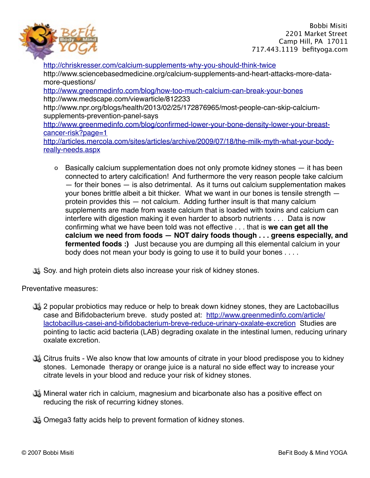

<http://chriskresser.com/calcium-supplements-why-you-should-think-twice> [http://www.sciencebasedmedicine.org/calcium-supplements-and-heart-attacks-more-data](http://www.sciencebasedmedicine.org/calcium-supplements-and-heart-attacks-more-data-more-questions/)more-questions/ <http://www.greenmedinfo.com/blog/how-too-much-calcium-can-break-your-bones> <http://www.medscape.com/viewarticle/812233> [http://www.npr.org/blogs/health/2013/02/25/172876965/most-people-can-skip-calcium](http://www.npr.org/blogs/health/2013/02/25/172876965/most-people-can-skip-calcium-supplements-prevention-panel-says)supplements-prevention-panel-says [http://www.greenmedinfo.com/blog/confirmed-lower-your-bone-density-lower-your-breast](http://www.greenmedinfo.com/blog/confirmed-lower-your-bone-density-lower-your-breast-cancer-risk?page=1)cancer-risk?page=1 [http://articles.mercola.com/sites/articles/archive/2009/07/18/the-milk-myth-what-your-body](http://articles.mercola.com/sites/articles/archive/2009/07/18/the-milk-myth-what-your-body-really-needs.aspx)really-needs.aspx

- o Basically calcium supplementation does not only promote kidney stones it has been connected to artery calcification! And furthermore the very reason people take calcium — for their bones — is also detrimental. As it turns out calcium supplementation makes your bones brittle albeit a bit thicker. What we want in our bones is tensile strength protein provides this — not calcium. Adding further insult is that many calcium supplements are made from waste calcium that is loaded with toxins and calcium can interfere with digestion making it even harder to absorb nutrients . . . Data is now confirming what we have been told was not effective . . . that is **we can get all the calcium we need from foods — NOT dairy foods though . . . greens especially, and fermented foods :)** Just because you are dumping all this elemental calcium in your body does not mean your body is going to use it to build your bones . . . .
- Soy. and high protein diets also increase your risk of kidney stones.

Preventative measures:

- 2 popular probiotics may reduce or help to break down kidney stones, they are Lactobacillus [case and Bifidobacterium breve. study posted at: http://www.greenmedinfo.com/article/](http://www.greenmedinfo.com/article/lactobacillus-casei-and-bifidobacterium-breve-reduce-urinary-oxalate-excretion) lactobacillus-casei-and-bifidobacterium-breve-reduce-urinary-oxalate-excretion Studies are pointing to lactic acid bacteria (LAB) degrading oxalate in the intestinal lumen, reducing urinary oxalate excretion.
- Citrus fruits We also know that low amounts of citrate in your blood predispose you to kidney stones. Lemonade therapy or orange juice is a natural no side effect way to increase your citrate levels in your blood and reduce your risk of kidney stones.
- Mineral water rich in calcium, magnesium and bicarbonate also has a positive effect on reducing the risk of recurring kidney stones.
- Omega3 fatty acids help to prevent formation of kidney stones.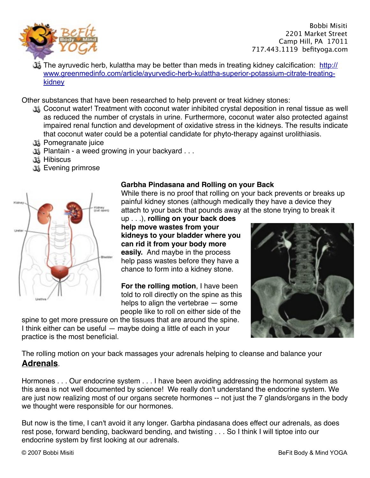

[The ayruvedic herb, kulattha may be better than meds in treating kidney calcification: http://](http://www.greenmedinfo.com/article/ayurvedic-herb-kulattha-superior-potassium-citrate-treating-kidney) www.greenmedinfo.com/article/ayurvedic-herb-kulattha-superior-potassium-citrate-treatingkidney

Other substances that have been researched to help prevent or treat kidney stones:

- Coconut water! Treatment with coconut water inhibited crystal deposition in renal tissue as well as reduced the number of crystals in urine. Furthermore, coconut water also protected against impaired renal function and development of oxidative stress in the kidneys. The results indicate that coconut water could be a potential candidate for phyto-therapy against urolithiasis.
- Pomegranate juice
- Plantain a weed growing in your backyard . . .
- Hibiscus
- Evening primrose



#### **Garbha Pindasana and Rolling on your Back**

While there is no proof that rolling on your back prevents or breaks up painful kidney stones (although medically they have a device they attach to your back that pounds away at the stone trying to break it

up . . .), **rolling on your back does help move wastes from your kidneys to your bladder where you can rid it from your body more easily.** And maybe in the process help pass wastes before they have a chance to form into a kidney stone.

**For the rolling motion**, I have been told to roll directly on the spine as this helps to align the vertebrae — some people like to roll on either side of the

spine to get more pressure on the tissues that are around the spine. I think either can be useful — maybe doing a little of each in your practice is the most beneficial.



The rolling motion on your back massages your adrenals helping to cleanse and balance your **Adrenals**.

Hormones . . . Our endocrine system . . . I have been avoiding addressing the hormonal system as this area is not well documented by science! We really don't understand the endocrine system. We are just now realizing most of our organs secrete hormones -- not just the 7 glands/organs in the body we thought were responsible for our hormones.

But now is the time, I can't avoid it any longer. Garbha pindasana does effect our adrenals, as does rest pose, forward bending, backward bending, and twisting . . . So I think I will tiptoe into our endocrine system by first looking at our adrenals.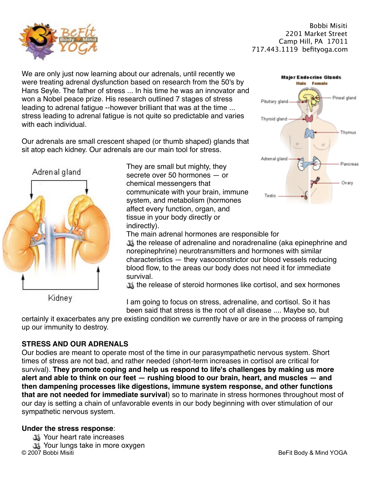

We are only just now learning about our adrenals, until recently we were treating adrenal dysfunction based on research from the 50's by Hans Seyle. The father of stress ... In his time he was an innovator and won a Nobel peace prize. His research outlined 7 stages of stress leading to adrenal fatigue --however brilliant that was at the time ... stress leading to adrenal fatigue is not quite so predictable and varies with each individual

Our adrenals are small crescent shaped (or thumb shaped) glands that sit atop each kidney. Our adrenals are our main tool for stress.



Kidney

They are small but mighty, they secrete over 50 hormones — or chemical messengers that communicate with your brain, immune system, and metabolism (hormones affect every function, organ, and tissue in your body directly or indirectly).



The main adrenal hormones are responsible for

 the release of adrenaline and noradrenaline (aka epinephrine and norepinephrine) neurotransmitters and hormones with similar characteristics — they vasoconstrictor our blood vessels reducing blood flow, to the areas our body does not need it for immediate survival.

the release of steroid hormones like cortisol, and sex hormones

I am going to focus on stress, adrenaline, and cortisol. So it has been said that stress is the root of all disease .... Maybe so, but

certainly it exacerbates any pre existing condition we currently have or are in the process of ramping up our immunity to destroy.

# **STRESS AND OUR ADRENALS**

Our bodies are meant to operate most of the time in our parasympathetic nervous system. Short times of stress are not bad, and rather needed (short-term increases in cortisol are critical for survival). **They promote coping and help us respond to life's challenges by making us more alert and able to think on our feet — rushing blood to our brain, heart, and muscles — and then dampening processes like digestions, immune system response, and other functions that are not needed for immediate survival**) so to marinate in stress hormones throughout most of our day is setting a chain of unfavorable events in our body beginning with over stimulation of our sympathetic nervous system.

# **Under the stress response**:

- Your heart rate increases
- **J** Your lungs take in more oxygen © 2007 Bobbi Misiti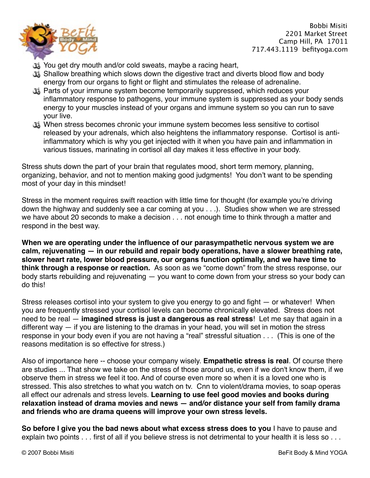

- You get dry mouth and/or cold sweats, maybe a racing heart,
- Shallow breathing which slows down the digestive tract and diverts blood flow and body energy from our organs to fight or flight and stimulates the release of adrenaline.
- Parts of your immune system become temporarily suppressed, which reduces your inflammatory response to pathogens, your immune system is suppressed as your body sends energy to your muscles instead of your organs and immune system so you can run to save your live.
- When stress becomes chronic your immune system becomes less sensitive to cortisol released by your adrenals, which also heightens the inflammatory response. Cortisol is antiinflammatory which is why you get injected with it when you have pain and inflammation in various tissues, marinating in cortisol all day makes it less effective in your body.

Stress shuts down the part of your brain that regulates mood, short term memory, planning, organizing, behavior, and not to mention making good judgments! You don't want to be spending most of your day in this mindset!

Stress in the moment requires swift reaction with little time for thought (for example you're driving down the highway and suddenly see a car coming at you . . .). Studies show when we are stressed we have about 20 seconds to make a decision . . . not enough time to think through a matter and respond in the best way.

**When we are operating under the influence of our parasympathetic nervous system we are calm, rejuvenating — in our rebuild and repair body operations, have a slower breathing rate, slower heart rate, lower blood pressure, our organs function optimally, and we have time to think through a response or reaction.** As soon as we "come down" from the stress response, our body starts rebuilding and rejuvenating — you want to come down from your stress so your body can do this!

Stress releases cortisol into your system to give you energy to go and fight — or whatever! When you are frequently stressed your cortisol levels can become chronically elevated. Stress does not need to be real — **imagined stress is just a dangerous as real stress**! Let me say that again in a different way — if you are listening to the dramas in your head, you will set in motion the stress response in your body even if you are not having a "real" stressful situation . . . (This is one of the reasons meditation is so effective for stress.)

Also of importance here -- choose your company wisely. **Empathetic stress is real**. Of course there are studies ... That show we take on the stress of those around us, even if we don't know them, if we observe them in stress we feel it too. And of course even more so when it is a loved one who is stressed. This also stretches to what you watch on tv. Cnn to violent/drama movies, to soap operas all effect our adrenals and stress levels. **Learning to use feel good movies and books during relaxation instead of drama movies and news — and/or distance your self from family drama and friends who are drama queens will improve your own stress levels.**

**So before I give you the bad news about what excess stress does to you** I have to pause and explain two points . . . first of all if you believe stress is not detrimental to your health it is less so . . .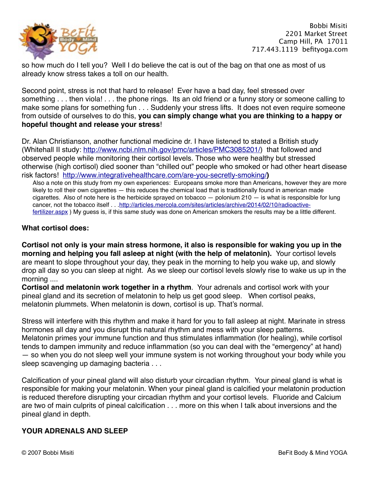

so how much do I tell you? Well I do believe the cat is out of the bag on that one as most of us already know stress takes a toll on our health.

Second point, stress is not that hard to release! Ever have a bad day, feel stressed over something . . . then viola! . . . the phone rings. Its an old friend or a funny story or someone calling to make some plans for something fun . . . Suddenly your stress lifts. It does not even require someone from outside of ourselves to do this, **you can simply change what you are thinking to a happy or hopeful thought and release your stress**!

Dr. Alan Christianson, another functional medicine dr. I have listened to stated a British study (Whitehall II study: [http://www.ncbi.nlm.nih.gov/pmc/articles/PMC3085201/\)](http://www.ncbi.nlm.nih.gov/pmc/articles/PMC3085201/) that followed and observed people while monitoring their cortisol levels. Those who were healthy but stressed otherwise (high cortisol) died sooner than "chilled out" people who smoked or had other heart disease risk factors! <http://www.integrativehealthcare.com/are-you-secretly-smoking/>**)**

Also a note on this study from my own experiences: Europeans smoke more than Americans, however they are more likely to roll their own cigarettes — this reduces the chemical load that is traditionally found in american made cigarettes. Also of note here is the herbicide sprayed on tobacco — polonium 210 — is what is responsible for lung [cancer, not the tobacco itself . . .http://articles.mercola.com/sites/articles/archive/2014/02/10/radioactive](http://articles.mercola.com/sites/articles/archive/2014/02/10/radioactive-fertilizer.aspx)fertilizer.aspx ) My guess is, if this same study was done on American smokers the results may be a little different.

#### **What cortisol does:**

**Cortisol not only is your main stress hormone, it also is responsible for waking you up in the morning and helping you fall asleep at night (with the help of melatonin).** Your cortisol levels are meant to slope throughout your day, they peak in the morning to help you wake up, and slowly drop all day so you can sleep at night. As we sleep our cortisol levels slowly rise to wake us up in the morning ....

**Cortisol and melatonin work together in a rhythm**. Your adrenals and cortisol work with your pineal gland and its secretion of melatonin to help us get good sleep. When cortisol peaks, melatonin plummets. When melatonin is down, cortisol is up. That's normal.

Stress will interfere with this rhythm and make it hard for you to fall asleep at night. Marinate in stress hormones all day and you disrupt this natural rhythm and mess with your sleep patterns. Melatonin primes your immune function and thus stimulates inflammation (for healing), while cortisol tends to dampen immunity and reduce inflammation (so you can deal with the "emergency" at hand) — so when you do not sleep well your immune system is not working throughout your body while you sleep scavenging up damaging bacteria . . .

Calcification of your pineal gland will also disturb your circadian rhythm. Your pineal gland is what is responsible for making your melatonin. When your pineal gland is calcified your melatonin production is reduced therefore disrupting your circadian rhythm and your cortisol levels. Fluoride and Calcium are two of main culprits of pineal calcification . . . more on this when I talk about inversions and the pineal gland in depth.

### **YOUR ADRENALS AND SLEEP**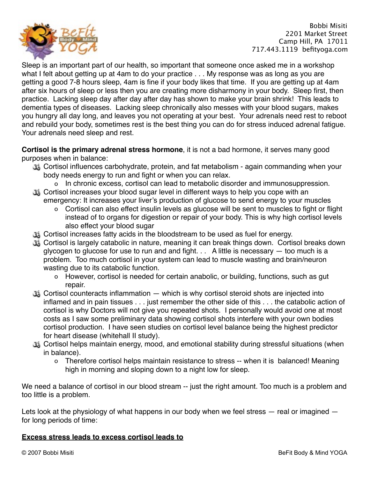

Sleep is an important part of our health, so important that someone once asked me in a workshop what I felt about getting up at 4am to do your practice . . . My response was as long as you are getting a good 7-8 hours sleep, 4am is fine if your body likes that time. If you are getting up at 4am after six hours of sleep or less then you are creating more disharmony in your body. Sleep first, then practice. Lacking sleep day after day after day has shown to make your brain shrink! This leads to dementia types of diseases. Lacking sleep chronically also messes with your blood sugars, makes you hungry all day long, and leaves you not operating at your best. Your adrenals need rest to reboot and rebuild your body, sometimes rest is the best thing you can do for stress induced adrenal fatigue. Your adrenals need sleep and rest.

**Cortisol is the primary adrenal stress hormone**, it is not a bad hormone, it serves many good purposes when in balance:

- Cortisol influences carbohydrate, protein, and fat metabolism again commanding when your body needs energy to run and fight or when you can relax.
	- o In chronic excess, cortisol can lead to metabolic disorder and immunosuppression.
- st Cortisol increases your blood sugar level in different ways to help you cope with an emergency: It increases your liver's production of glucose to send energy to your muscles
	- o Cortisol can also effect insulin levels as glucose will be sent to muscles to fight or flight instead of to organs for digestion or repair of your body. This is why high cortisol levels also effect your blood sugar
- Cortisol increases fatty acids in the bloodstream to be used as fuel for energy.
- Cortisol is largely catabolic in nature, meaning it can break things down. Cortisol breaks down glycogen to glucose for use to run and and fight.  $\ldots$  A little is necessary  $-$  too much is a problem. Too much cortisol in your system can lead to muscle wasting and brain/neuron wasting due to its catabolic function.
	- o However, cortisol is needed for certain anabolic, or building, functions, such as gut repair.
- steroid shots are injected into its why cortisol steroid shots are injected into inflamed and in pain tissues . . . just remember the other side of this . . . the catabolic action of cortisol is why Doctors will not give you repeated shots. I personally would avoid one at most costs as I saw some preliminary data showing cortisol shots interfere with your own bodies cortisol production. I have seen studies on cortisol level balance being the highest predictor for heart disease (whitehall II study).
- stability during stressful situations (when stability during stressful situations (when in balance).
	- o Therefore cortisol helps maintain resistance to stress -- when it is balanced! Meaning high in morning and sloping down to a night low for sleep.

We need a balance of cortisol in our blood stream -- just the right amount. Too much is a problem and too little is a problem.

Lets look at the physiology of what happens in our body when we feel stress  $-$  real or imagined  $$ for long periods of time:

### **Excess stress leads to excess cortisol leads to**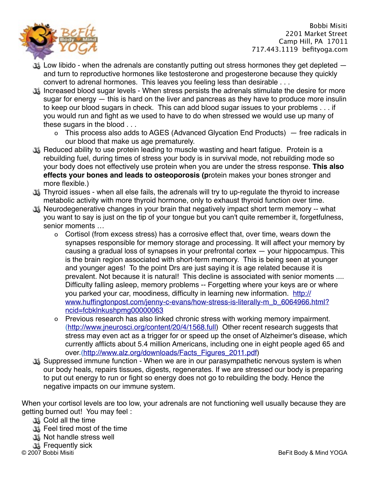

- لَّقْ Low libido when the adrenals are constantly putting out stress hormones they get depleted and turn to reproductive hormones like testosterone and progesterone because they quickly convert to adrenal hormones. This leaves you feeling less than desirable . . .
- Increased blood sugar levels When stress persists the adrenals stimulate the desire for more sugar for energy — this is hard on the liver and pancreas as they have to produce more insulin to keep our blood sugars in check. This can add blood sugar issues to your problems . . . if you would run and fight as we used to have to do when stressed we would use up many of these sugars in the blood . . .
	- o This process also adds to AGES (Advanced Glycation End Products) free radicals in our blood that make us age prematurely.
- Reduced ability to use protein leading to muscle wasting and heart fatigue. Protein is a rebuilding fuel, during times of stress your body is in survival mode, not rebuilding mode so your body does not effectively use protein when you are under the stress response. **This also effects your bones and leads to osteoporosis (p**rotein makes your bones stronger and more flexible.)
- Thyroid issues when all else fails, the adrenals will try to up-regulate the thyroid to increase metabolic activity with more thyroid hormone, only to exhaust thyroid function over time.
- Neurodegenerative changes in your brain that negatively impact short term memory -- what you want to say is just on the tip of your tongue but you can't quite remember it, forgetfulness, senior moments …
	- o Cortisol (from excess stress) has a corrosive effect that, over time, wears down the synapses responsible for memory storage and processing. It will affect your memory by causing a gradual loss of synapses in your prefrontal cortex — your hippocampus. This is the brain region associated with short-term memory. This is being seen at younger and younger ages! To the point Drs are just saying it is age related because it is prevalent. Not because it is natural! This decline is associated with senior moments .... Difficulty falling asleep, memory problems -- Forgetting where your keys are or where you parked your car, moodiness, difficulty in learning new information. http:// [www.huffingtonpost.com/jenny-c-evans/how-stress-is-literally-m\\_b\\_6064966.html?](http://www.huffingtonpost.com/jenny-c-evans/how-stress-is-literally-m_b_6064966.html?ncid=fcbklnkushpmg00000063) ncid=fcbklnkushpmg00000063
	- o Previous research has also linked chronic stress with working memory impairment. (<http://www.jneurosci.org/content/20/4/1568.full>) Other recent research suggests that stress may even act as a trigger for or speed up the onset of Alzheimer's disease, which currently afflicts about 5.4 million Americans, including one in eight people aged 65 and over.[\(http://www.alz.org/downloads/Facts\\_Figures\\_2011.pdf](http://www.alz.org/downloads/Facts_Figures_2011.pdf))
- Suppressed immune function When we are in our parasympathetic nervous system is when our body heals, repairs tissues, digests, regenerates. If we are stressed our body is preparing to put out energy to run or fight so energy does not go to rebuilding the body. Hence the negative impacts on our immune system.

When your cortisol levels are too low, your adrenals are not functioning well usually because they are getting burned out! You may feel :

- **di** Cold all the time
- Feel tired most of the time
- Not handle stress well

ئق<br>Frequently sick ©<br>© 2007 Bobbi Misiti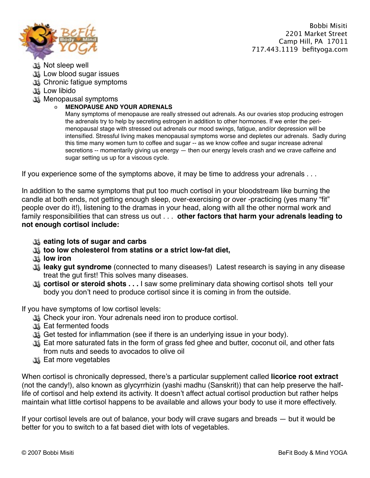

- Not sleep well
- **data** Low blood sugar issues
- **Chronic fatique symptoms**
- Low libido
- Menopausal symptoms
	- o **MENOPAUSE AND YOUR ADRENALS**

Many symptoms of menopause are really stressed out adrenals. As our ovaries stop producing estrogen the adrenals try to help by secreting estrogen in addition to other hormones. If we enter the perimenopausal stage with stressed out adrenals our mood swings, fatigue, and/or depression will be intensified. Stressful living makes menopausal symptoms worse and depletes our adrenals. Sadly during this time many women turn to coffee and sugar -- as we know coffee and sugar increase adrenal secretions -- momentarily giving us energy — then our energy levels crash and we crave caffeine and sugar setting us up for a viscous cycle.

If you experience some of the symptoms above, it may be time to address your adrenals . . .

In addition to the same symptoms that put too much cortisol in your bloodstream like burning the candle at both ends, not getting enough sleep, over-exercising or over -practicing (yes many "fit" people over do it!), listening to the dramas in your head, along with all the other normal work and family responsibilities that can stress us out . . . **other factors that harm your adrenals leading to not enough cortisol include:** 

- **eating lots of sugar and carbs**
- **too low cholesterol from statins or a strict low-fat diet,**
- **low iron**
- **leaky gut syndrome** (connected to many diseases!) Latest research is saying in any disease treat the gut first! This solves many diseases.
- **cortisol or steroid shots . . .** I saw some preliminary data showing cortisol shots tell your body you don't need to produce cortisol since it is coming in from the outside.

If you have symptoms of low cortisol levels:

- Check your iron. Your adrenals need iron to produce cortisol.
- Eat fermented foods
- Get tested for inflammation (see if there is an underlying issue in your body).
- Eat more saturated fats in the form of grass fed ghee and butter, coconut oil, and other fats from nuts and seeds to avocados to olive oil
- di Eat more vegetables

When cortisol is chronically depressed, there's a particular supplement called **licorice root extract** (not the candy!), also known as glycyrrhizin (yashi madhu (Sanskrit)) that can help preserve the halflife of cortisol and help extend its activity. It doesn't affect actual cortisol production but rather helps maintain what little cortisol happens to be available and allows your body to use it more effectively.

If your cortisol levels are out of balance, your body will crave sugars and breads — but it would be better for you to switch to a fat based diet with lots of vegetables.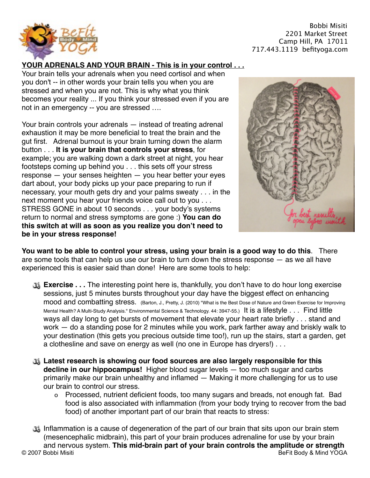

### **YOUR ADRENALS AND YOUR BRAIN - This is in your control . . .**

Your brain tells your adrenals when you need cortisol and when you don't -- in other words your brain tells you when you are stressed and when you are not. This is why what you think becomes your reality ... If you think your stressed even if you are not in an emergency -- you are stressed ….

Your brain controls your adrenals — instead of treating adrenal exhaustion it may be more beneficial to treat the brain and the gut first. Adrenal burnout is your brain turning down the alarm button . . . **It is your brain that controls your stress**, for example; you are walking down a dark street at night, you hear footsteps coming up behind you . . . this sets off your stress response — your senses heighten — you hear better your eyes dart about, your body picks up your pace preparing to run if necessary, your mouth gets dry and your palms sweaty . . . in the next moment you hear your friends voice call out to you . . . STRESS GONE in about 10 seconds . . . your body's systems return to normal and stress symptoms are gone :) **You can do this switch at will as soon as you realize you don't need to be in your stress response!**



**You want to be able to control your stress, using your brain is a good way to do this**. There are some tools that can help us use our brain to turn down the stress response — as we all have experienced this is easier said than done! Here are some tools to help:

- Exercise . . . The interesting point here is, thankfully, you don't have to do hour long exercise sessions, just 5 minutes bursts throughout your day have the biggest effect on enhancing mood and combatting stress. (Barton, J., Pretty, J. (2010) "What is the Best Dose of Nature and Green Exercise for Improving Mental Health? A Multi-Study Analysis." Environmental Science & Technology. 44: 3947-55.) It is a lifestyle . . . Find little ways all day long to get bursts of movement that elevate your heart rate briefly . . . stand and work — do a standing pose for 2 minutes while you work, park farther away and briskly walk to your destination (this gets you precious outside time too!), run up the stairs, start a garden, get a clothesline and save on energy as well (no one in Europe has dryers!) . . .
- **Latest research is showing our food sources are also largely responsible for this decline in our hippocampus!** Higher blood sugar levels — too much sugar and carbs primarily make our brain unhealthy and inflamed — Making it more challenging for us to use our brain to control our stress.
	- o Processed, nutrient deficient foods, too many sugars and breads, not enough fat. Bad food is also associated with inflammation (from your body trying to recover from the bad food) of another important part of our brain that reacts to stress:
- is Inflammation is a cause of degeneration of the part of our brain that sits upon our brain stem (mesencephalic midbrain), this part of your brain produces adrenaline for use by your brain and nervous system. **This mid-brain part of your brain controls the amplitude or strength**  BeFit Body & Mind YOGA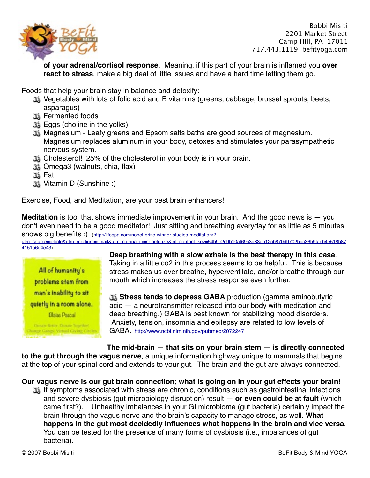

**of your adrenal/cortisol response**. Meaning, if this part of your brain is inflamed you **over react to stress**, make a big deal of little issues and have a hard time letting them go.

Foods that help your brain stay in balance and detoxify:

- Vegetables with lots of folic acid and B vitamins (greens, cabbage, brussel sprouts, beets, asparagus)
- Fermented foods
- Eggs (choline in the yolks)
- Magnesium Leafy greens and Epsom salts baths are good sources of magnesium. Magnesium replaces aluminum in your body, detoxes and stimulates your parasympathetic nervous system.
- Cholesterol! 25% of the cholesterol in your body is in your brain.
- Omega3 (walnuts, chia, flax)
- Fat
- Vitamin D (Sunshine :)

Exercise, Food, and Meditation, are your best brain enhancers!

**Meditation** is tool that shows immediate improvement in your brain. And the good news is — you don't even need to be a good meditator! Just sitting and breathing everyday for as little as 5 minutes shows big benefits :) (http://lifespa.com/nobel-prize-winner-studies-meditation/?

[utm\\_source=article&utm\\_medium=email&utm\\_campaign=nobelprize&inf\\_contact\\_key=54b9e2c9b10af69c3a83ab12cb870d9702bac36b9facb4e518b87](http://lifespa.com/nobel-prize-winner-studies-meditation/?utm_source=article&utm_medium=email&utm_campaign=nobelprize&inf_contact_key=54b9e2c9b10af69c3a83ab12cb870d9702bac36b9facb4e518b874151a6d4e43) 4151a6d4e43)



**Deep breathing with a slow exhale is the best therapy in this case**. Taking in a little co2 in this process seems to be helpful. This is because stress makes us over breathe, hyperventilate, and/or breathe through our mouth which increases the stress response even further.

**Stress tends to depress GABA** production (gamma aminobutyric acid — a neurotransmitter released into our body with meditation and deep breathing.) GABA is best known for stabilizing mood disorders. Anxiety, tension, insomnia and epilepsy are related to low levels of GABA. <http://www.ncbi.nlm.nih.gov/pubmed/20722471>

**The mid-brain — that sits on your brain stem — is directly connected** 

**to the gut through the vagus nerve**, a unique information highway unique to mammals that begins at the top of your spinal cord and extends to your gut. The brain and the gut are always connected.

**Our vagus nerve is our gut brain connection; what is going on in your gut effects your brain!**

If symptoms associated with stress are chronic, conditions such as gastrointestinal infections and severe dysbiosis (gut microbiology disruption) result — **or even could be at fault** (which came first?). Unhealthy imbalances in your GI microbiome (gut bacteria) certainly impact the brain through the vagus nerve and the brain's capacity to manage stress, as well. **What happens in the gut most decidedly influences what happens in the brain and vice versa**. You can be tested for the presence of many forms of dysbiosis (i.e., imbalances of gut bacteria).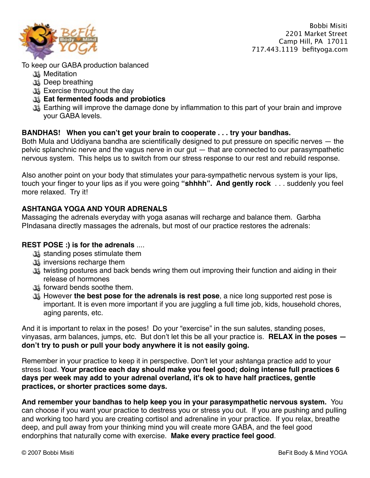

To keep our GABA production balanced

- d: Meditation
- da Deep breathing
- Exercise throughout the day
- **Eat fermented foods and probiotics**
- Earthing will improve the damage done by inflammation to this part of your brain and improve your GABA levels.

# **BANDHAS! When you can't get your brain to cooperate . . . try your bandhas.**

Both Mula and Uddiyana bandha are scientifically designed to put pressure on specific nerves — the pelvic splanchnic nerve and the vagus nerve in our gut — that are connected to our parasympathetic nervous system. This helps us to switch from our stress response to our rest and rebuild response.

Also another point on your body that stimulates your para-sympathetic nervous system is your lips, touch your finger to your lips as if you were going **"shhhh". And gently rock** . . . suddenly you feel more relaxed. Try it!

# **ASHTANGA YOGA AND YOUR ADRENALS**

Massaging the adrenals everyday with yoga asanas will recharge and balance them. Garbha PIndasana directly massages the adrenals, but most of our practice restores the adrenals:

# **REST POSE :) is for the adrenals** ....

- standing poses stimulate them
- inversions recharge them
- twisting postures and back bends wring them out improving their function and aiding in their release of hormones
- forward bends soothe them.
- However **the best pose for the adrenals is rest pose**, a nice long supported rest pose is important. It is even more important if you are juggling a full time job, kids, household chores, aging parents, etc.

And it is important to relax in the poses! Do your "exercise" in the sun salutes, standing poses, vinyasas, arm balances, jumps, etc. But don't let this be all your practice is. **RELAX in the poses don't try to push or pull your body anywhere it is not easily going.**

Remember in your practice to keep it in perspective. Don't let your ashtanga practice add to your stress load. **Your practice each day should make you feel good; doing intense full practices 6 days per week may add to your adrenal overland, it's ok to have half practices, gentle practices, or shorter practices some days.**

**And remember your bandhas to help keep you in your parasympathetic nervous system.** You can choose if you want your practice to destress you or stress you out. If you are pushing and pulling and working too hard you are creating cortisol and adrenaline in your practice. If you relax, breathe deep, and pull away from your thinking mind you will create more GABA, and the feel good endorphins that naturally come with exercise. **Make every practice feel good**.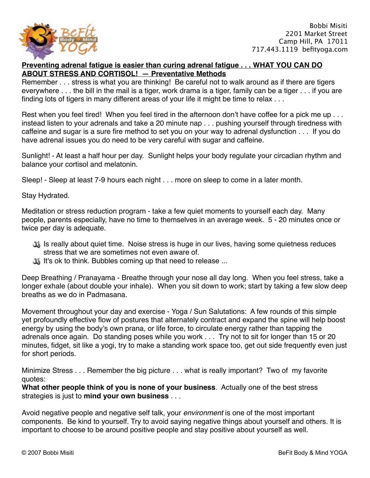

#### **Preventing adrenal fatigue is easier than curing adrenal fatigue . . . WHAT YOU CAN DO ABOUT STRESS AND CORTISOL! — Preventative Methods**

Remember . . . stress is what you are thinking! Be careful not to walk around as if there are tigers everywhere . . . the bill in the mail is a tiger, work drama is a tiger, family can be a tiger . . . if you are finding lots of tigers in many different areas of your life it might be time to relax . . .

Rest when you feel tired! When you feel tired in the afternoon don't have coffee for a pick me up . . . instead listen to your adrenals and take a 20 minute nap . . . pushing yourself through tiredness with caffeine and sugar is a sure fire method to set you on your way to adrenal dysfunction . . . If you do have adrenal issues you do need to be very careful with sugar and caffeine.

Sunlight! - At least a half hour per day. Sunlight helps your body regulate your circadian rhythm and balance your cortisol and melatonin.

Sleep! - Sleep at least 7-9 hours each night . . . more on sleep to come in a later month.

Stay Hydrated.

Meditation or stress reduction program - take a few quiet moments to yourself each day. Many people, parents especially, have no time to themselves in an average week. 5 - 20 minutes once or twice per day is adequate.

- Is really about quiet time. Noise stress is huge in our lives, having some quietness reduces stress that we are sometimes not even aware of.
- It's ok to think. Bubbles coming up that need to release ...

Deep Breathing / Pranayama - Breathe through your nose all day long. When you feel stress, take a longer exhale (about double your inhale). When you sit down to work; start by taking a few slow deep breaths as we do in Padmasana.

Movement throughout your day and exercise - Yoga / Sun Salutations: A few rounds of this simple yet profoundly effective flow of postures that alternately contract and expand the spine will help boost energy by using the body's own prana, or life force, to circulate energy rather than tapping the adrenals once again. Do standing poses while you work . . . Try not to sit for longer than 15 or 20 minutes, fidget, sit like a yogi, try to make a standing work space too, get out side frequently even just for short periods.

Minimize Stress . . . Remember the big picture . . . what is really important? Two of my favorite quotes:

**What other people think of you is none of your business**. Actually one of the best stress strategies is just to **mind your own business** . . .

Avoid negative people and negative self talk, your *environment* is one of the most important components. Be kind to yourself. Try to avoid saying negative things about yourself and others. It is important to choose to be around positive people and stay positive about yourself as well.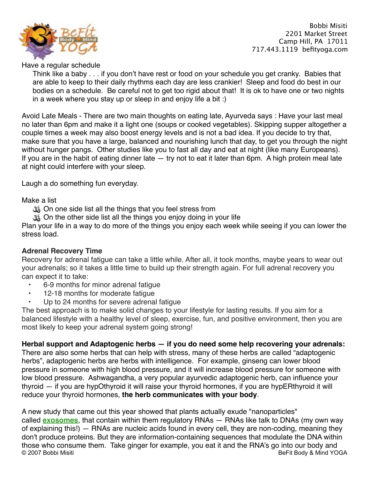

#### Have a regular schedule

Think like a baby . . . if you don't have rest or food on your schedule you get cranky. Babies that are able to keep to their daily rhythms each day are less crankier! Sleep and food do best in our bodies on a schedule. Be careful not to get too rigid about that! It is ok to have one or two nights in a week where you stay up or sleep in and enjoy life a bit :)

Avoid Late Meals - There are two main thoughts on eating late, Ayurveda says : Have your last meal no later than 6pm and make it a light one (soups or cooked vegetables). Skipping supper altogether a couple times a week may also boost energy levels and is not a bad idea. If you decide to try that, make sure that you have a large, balanced and nourishing lunch that day, to get you through the night without hunger pangs. Other studies like you to fast all day and eat at night (like many Europeans). If you are in the habit of eating dinner late  $-$  try not to eat it later than 6pm. A high protein meal late at night could interfere with your sleep.

Laugh a do something fun everyday.

Make a list

On one side list all the things that you feel stress from

On the other side list all the things you enjoy doing in your life

Plan your life in a way to do more of the things you enjoy each week while seeing if you can lower the stress load.

### **Adrenal Recovery Time**

Recovery for adrenal fatigue can take a little while. After all, it took months, maybe years to wear out your adrenals; so it takes a little time to build up their strength again. For full adrenal recovery you can expect it to take:

- 6-9 months for minor adrenal fatigue
- 12-18 months for moderate fatigue
- Up to 24 months for severe adrenal fatigue

The best approach is to make solid changes to your lifestyle for lasting results. If you aim for a balanced lifestyle with a healthy level of sleep, exercise, fun, and positive environment, then you are most likely to keep your adrenal system going strong!

### **Herbal support and Adaptogenic herbs — if you do need some help recovering your adrenals:**

There are also some herbs that can help with stress, many of these herbs are called "adaptogenic herbs", adaptogenic herbs are herbs with intelligence. For example, ginseng can lower blood pressure in someone with high blood pressure, and it will increase blood pressure for someone with low blood pressure. Ashwagandha, a very popular ayurvedic adaptogenic herb, can influence your thyroid — if you are hypOthyroid it will raise your thyroid hormones, if you are hypERthyroid it will reduce your thyroid hormones, **the herb communicates with your body**.

A new study that came out this year showed that plants actually exude "nanoparticles" called **[exosomes](http://www.greenmedinfo.com/keyword/exosomes)**, that contain within them regulatory RNAs — RNAs like talk to DNAs (my own way of explaining this!) — RNAs are nucleic acids found in every cell, they are non-coding, meaning they don't produce proteins. But they are information-containing sequences that modulate the DNA within those who consume them. Take ginger for example, you eat it and the RNA's go into our body and<br>© 2007 BeFit Body & Mind YO BeFit Body & Mind YOGA